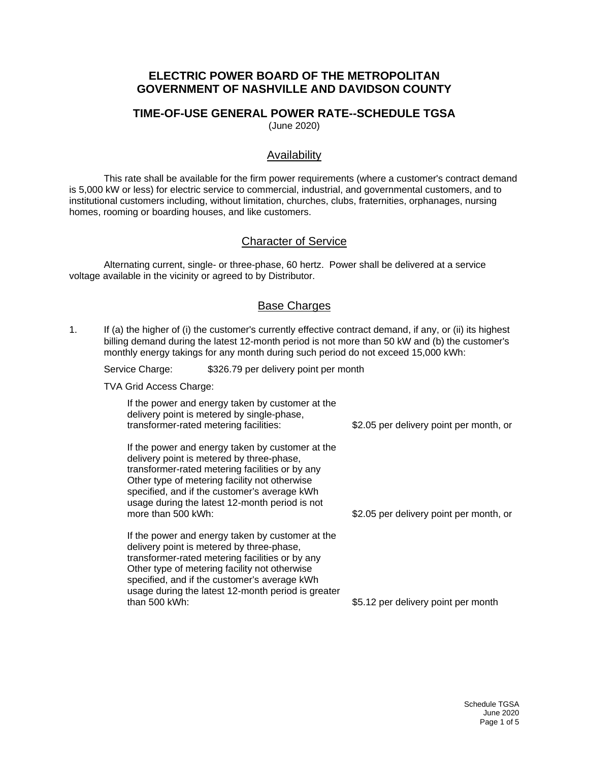## **ELECTRIC POWER BOARD OF THE METROPOLITAN GOVERNMENT OF NASHVILLE AND DAVIDSON COUNTY**

#### **TIME-OF-USE GENERAL POWER RATE--SCHEDULE TGSA** (June 2020)

#### Availability

This rate shall be available for the firm power requirements (where a customer's contract demand is 5,000 kW or less) for electric service to commercial, industrial, and governmental customers, and to institutional customers including, without limitation, churches, clubs, fraternities, orphanages, nursing homes, rooming or boarding houses, and like customers.

## Character of Service

Alternating current, single- or three-phase, 60 hertz. Power shall be delivered at a service voltage available in the vicinity or agreed to by Distributor.

#### Base Charges

1. If (a) the higher of (i) the customer's currently effective contract demand, if any, or (ii) its highest billing demand during the latest 12-month period is not more than 50 kW and (b) the customer's monthly energy takings for any month during such period do not exceed 15,000 kWh:

Service Charge: \$326.79 per delivery point per month

TVA Grid Access Charge:

If the power and energy taken by customer at the delivery point is metered by single-phase, transformer-rated metering facilities: If the power and energy taken by customer at the \$2.05 per delivery point per month, or

delivery point is metered by three-phase, transformer-rated metering facilities or by any Other type of metering facility not otherwise specified, and if the customer's average kWh usage during the latest 12-month period is not more than 500 kWh:

If the power and energy taken by customer at the delivery point is metered by three-phase, transformer-rated metering facilities or by any Other type of metering facility not otherwise specified, and if the customer's average kWh usage during the latest 12-month period is greater than 500 kWh:

\$2.05 per delivery point per month, or

\$5.12 per delivery point per month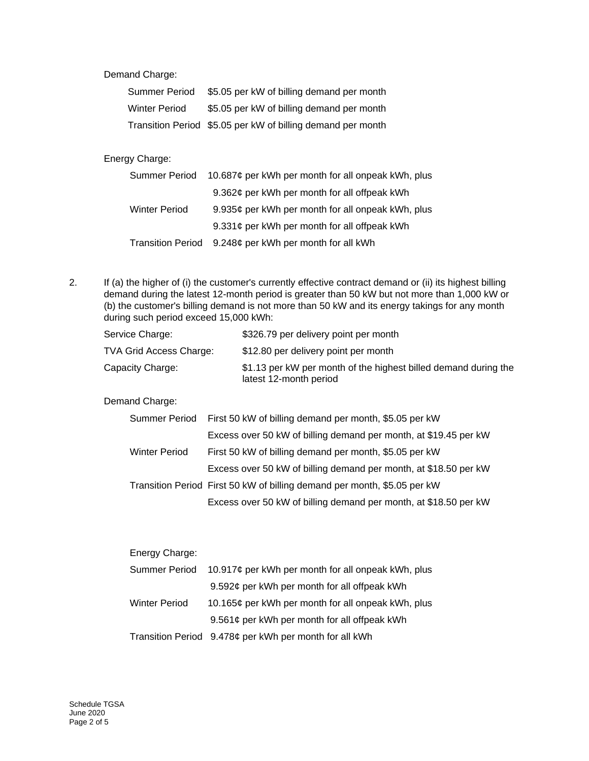Demand Charge:

| Summer Period        | \$5.05 per kW of billing demand per month                   |
|----------------------|-------------------------------------------------------------|
| <b>Winter Period</b> | \$5.05 per kW of billing demand per month                   |
|                      | Transition Period \$5.05 per kW of billing demand per month |

### Energy Charge:

| Summer Period            | 10.687¢ per kWh per month for all onpeak kWh, plus |
|--------------------------|----------------------------------------------------|
|                          | 9.362¢ per kWh per month for all offpeak kWh       |
| Winter Period            | 9.935¢ per kWh per month for all onpeak kWh, plus  |
|                          | 9.331¢ per kWh per month for all offpeak kWh       |
| <b>Transition Period</b> | 9.248¢ per kWh per month for all kWh               |

2. If (a) the higher of (i) the customer's currently effective contract demand or (ii) its highest billing demand during the latest 12-month period is greater than 50 kW but not more than 1,000 kW or (b) the customer's billing demand is not more than 50 kW and its energy takings for any month during such period exceed 15,000 kWh:

| Service Charge:         | \$326.79 per delivery point per month                                                     |
|-------------------------|-------------------------------------------------------------------------------------------|
| TVA Grid Access Charge: | \$12.80 per delivery point per month                                                      |
| Capacity Charge:        | \$1.13 per kW per month of the highest billed demand during the<br>latest 12-month period |

Demand Charge:

|                      | Summer Period First 50 kW of billing demand per month, \$5.05 per kW     |
|----------------------|--------------------------------------------------------------------------|
|                      | Excess over 50 kW of billing demand per month, at \$19.45 per kW         |
| <b>Winter Period</b> | First 50 kW of billing demand per month, \$5.05 per kW                   |
|                      | Excess over 50 kW of billing demand per month, at \$18.50 per kW         |
|                      | Transition Period First 50 kW of billing demand per month, \$5.05 per kW |
|                      | Excess over 50 kW of billing demand per month, at \$18.50 per kW         |

| Energy Charge:       |                                                        |
|----------------------|--------------------------------------------------------|
| Summer Period        | 10.917¢ per kWh per month for all onpeak kWh, plus     |
|                      | 9.592¢ per kWh per month for all offpeak kWh           |
| <b>Winter Period</b> | 10.165¢ per kWh per month for all onpeak kWh, plus     |
|                      | 9.561¢ per kWh per month for all offpeak kWh           |
|                      | Transition Period 9.478¢ per kWh per month for all kWh |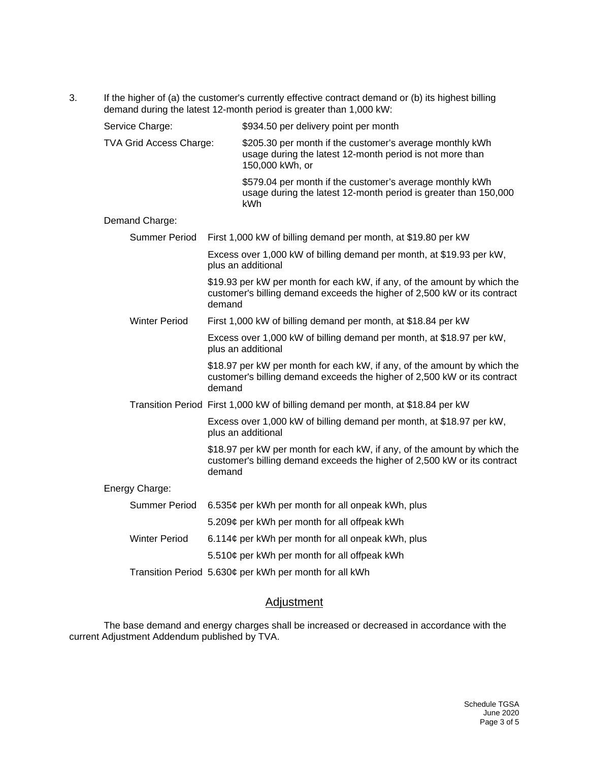3. If the higher of (a) the customer's currently effective contract demand or (b) its highest billing demand during the latest 12-month period is greater than 1,000 kW:

| Service Charge:                | \$934.50 per delivery point per month                                                                                                                          |
|--------------------------------|----------------------------------------------------------------------------------------------------------------------------------------------------------------|
| <b>TVA Grid Access Charge:</b> | \$205.30 per month if the customer's average monthly kWh<br>usage during the latest 12-month period is not more than<br>150,000 kWh, or                        |
|                                | \$579.04 per month if the customer's average monthly kWh<br>usage during the latest 12-month period is greater than 150,000<br>kWh                             |
| Demand Charge:                 |                                                                                                                                                                |
| <b>Summer Period</b>           | First 1,000 kW of billing demand per month, at \$19.80 per kW                                                                                                  |
|                                | Excess over 1,000 kW of billing demand per month, at \$19.93 per kW,<br>plus an additional                                                                     |
|                                | \$19.93 per kW per month for each kW, if any, of the amount by which the<br>customer's billing demand exceeds the higher of 2,500 kW or its contract<br>demand |
| <b>Winter Period</b>           | First 1,000 kW of billing demand per month, at \$18.84 per kW                                                                                                  |
|                                | Excess over 1,000 kW of billing demand per month, at \$18.97 per kW,<br>plus an additional                                                                     |
|                                | \$18.97 per kW per month for each kW, if any, of the amount by which the<br>customer's billing demand exceeds the higher of 2,500 kW or its contract<br>demand |
|                                | Transition Period First 1,000 kW of billing demand per month, at \$18.84 per kW                                                                                |
|                                | Excess over 1,000 kW of billing demand per month, at \$18.97 per kW,<br>plus an additional                                                                     |
|                                | \$18.97 per kW per month for each kW, if any, of the amount by which the<br>customer's billing demand exceeds the higher of 2,500 kW or its contract<br>demand |
| Energy Charge:                 |                                                                                                                                                                |
| <b>Summer Period</b>           | 6.535¢ per kWh per month for all onpeak kWh, plus                                                                                                              |
|                                | 5.209¢ per kWh per month for all offpeak kWh                                                                                                                   |
| <b>Winter Period</b>           | 6.114¢ per kWh per month for all onpeak kWh, plus                                                                                                              |
|                                | 5.510¢ per kWh per month for all offpeak kWh                                                                                                                   |
|                                | Transition Period 5.630¢ per kWh per month for all kWh                                                                                                         |

# **Adjustment**

The base demand and energy charges shall be increased or decreased in accordance with the current Adjustment Addendum published by TVA.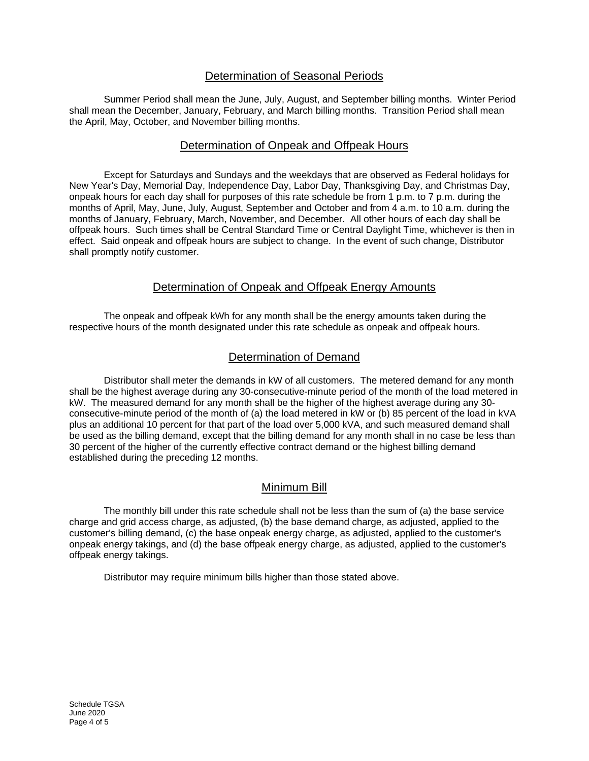# Determination of Seasonal Periods

Summer Period shall mean the June, July, August, and September billing months. Winter Period shall mean the December, January, February, and March billing months. Transition Period shall mean the April, May, October, and November billing months.

# Determination of Onpeak and Offpeak Hours

Except for Saturdays and Sundays and the weekdays that are observed as Federal holidays for New Year's Day, Memorial Day, Independence Day, Labor Day, Thanksgiving Day, and Christmas Day, onpeak hours for each day shall for purposes of this rate schedule be from 1 p.m. to 7 p.m. during the months of April, May, June, July, August, September and October and from 4 a.m. to 10 a.m. during the months of January, February, March, November, and December. All other hours of each day shall be offpeak hours. Such times shall be Central Standard Time or Central Daylight Time, whichever is then in effect. Said onpeak and offpeak hours are subject to change. In the event of such change, Distributor shall promptly notify customer.

# Determination of Onpeak and Offpeak Energy Amounts

The onpeak and offpeak kWh for any month shall be the energy amounts taken during the respective hours of the month designated under this rate schedule as onpeak and offpeak hours.

## Determination of Demand

Distributor shall meter the demands in kW of all customers. The metered demand for any month shall be the highest average during any 30-consecutive-minute period of the month of the load metered in kW. The measured demand for any month shall be the higher of the highest average during any 30 consecutive-minute period of the month of (a) the load metered in kW or (b) 85 percent of the load in kVA plus an additional 10 percent for that part of the load over 5,000 kVA, and such measured demand shall be used as the billing demand, except that the billing demand for any month shall in no case be less than 30 percent of the higher of the currently effective contract demand or the highest billing demand established during the preceding 12 months.

# Minimum Bill

The monthly bill under this rate schedule shall not be less than the sum of (a) the base service charge and grid access charge, as adjusted, (b) the base demand charge, as adjusted, applied to the customer's billing demand, (c) the base onpeak energy charge, as adjusted, applied to the customer's onpeak energy takings, and (d) the base offpeak energy charge, as adjusted, applied to the customer's offpeak energy takings.

Distributor may require minimum bills higher than those stated above.